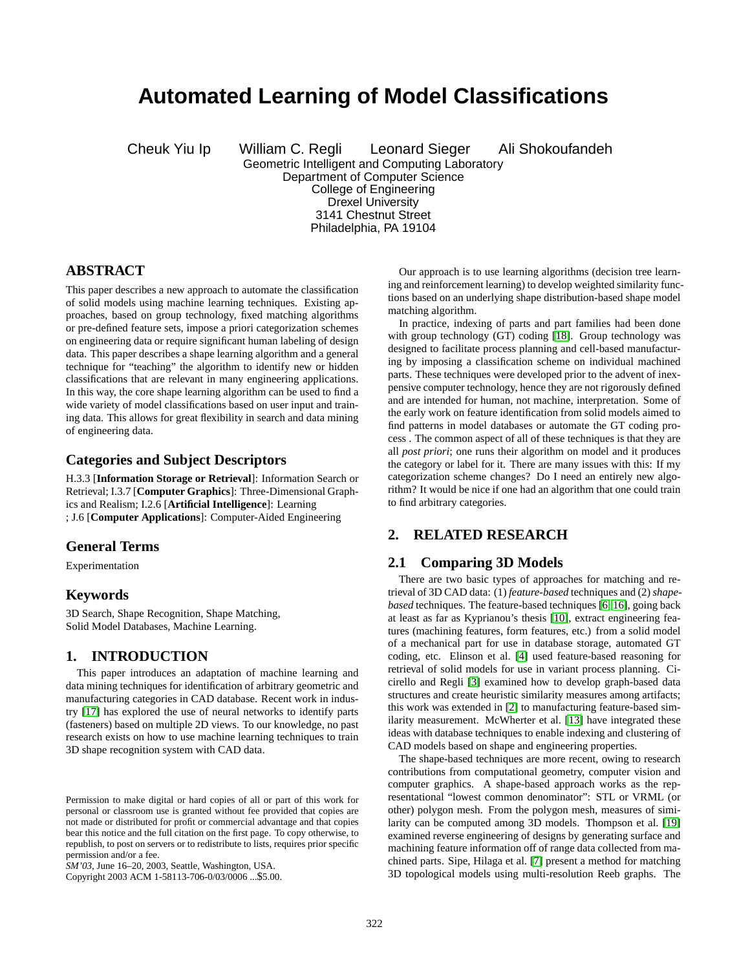# **Automated Learning of Model Classifications**

Cheuk Yiu Ip William C. Regli Leonard Sieger Ali Shokoufandeh Geometric Intelligent and Computing Laboratory Department of Computer Science College of Engineering Drexel University 3141 Chestnut Street Philadelphia, PA 19104

# **ABSTRACT**

This paper describes a new approach to automate the classification of solid models using machine learning techniques. Existing approaches, based on group technology, fixed matching algorithms or pre-defined feature sets, impose a priori categorization schemes on engineering data or require significant human labeling of design data. This paper describes a shape learning algorithm and a general technique for "teaching" the algorithm to identify new or hidden classifications that are relevant in many engineering applications. In this way, the core shape learning algorithm can be used to find a wide variety of model classifications based on user input and training data. This allows for great flexibility in search and data mining of engineering data.

### **Categories and Subject Descriptors**

H.3.3 [**Information Storage or Retrieval**]: Information Search or Retrieval; I.3.7 [**Computer Graphics**]: Three-Dimensional Graphics and Realism; I.2.6 [**Artificial Intelligence**]: Learning ; J.6 [**Computer Applications**]: Computer-Aided Engineering

### **General Terms**

Experimentation

### **Keywords**

3D Search, Shape Recognition, Shape Matching, Solid Model Databases, Machine Learning.

### **1. INTRODUCTION**

This paper introduces an adaptation of machine learning and data mining techniques for identification of arbitrary geometric and manufacturing categories in CAD database. Recent work in industry [\[17\]](#page-5-0) has explored the use of neural networks to identify parts (fasteners) based on multiple 2D views. To our knowledge, no past research exists on how to use machine learning techniques to train 3D shape recognition system with CAD data.

Copyright 2003 ACM 1-58113-706-0/03/0006 ...\$5.00.

Our approach is to use learning algorithms (decision tree learning and reinforcement learning) to develop weighted similarity functions based on an underlying shape distribution-based shape model matching algorithm.

In practice, indexing of parts and part families had been done with group technology (GT) coding [\[18\]](#page-5-0). Group technology was designed to facilitate process planning and cell-based manufacturing by imposing a classification scheme on individual machined parts. These techniques were developed prior to the advent of inexpensive computer technology, hence they are not rigorously defined and are intended for human, not machine, interpretation. Some of the early work on feature identification from solid models aimed to find patterns in model databases or automate the GT coding process . The common aspect of all of these techniques is that they are all *post priori*; one runs their algorithm on model and it produces the category or label for it. There are many issues with this: If my categorization scheme changes? Do I need an entirely new algorithm? It would be nice if one had an algorithm that one could train to find arbitrary categories.

# **2. RELATED RESEARCH**

### **2.1 Comparing 3D Models**

There are two basic types of approaches for matching and retrieval of 3D CAD data: (1) *feature-based* techniques and (2)*shapebased* techniques. The feature-based techniques [\[6,](#page-4-0) [16\]](#page-5-0), going back at least as far as Kyprianou's thesis [\[10\]](#page-5-0), extract engineering features (machining features, form features, etc.) from a solid model of a mechanical part for use in database storage, automated GT coding, etc. Elinson et al. [\[4\]](#page-4-0) used feature-based reasoning for retrieval of solid models for use in variant process planning. Cicirello and Regli [\[3\]](#page-4-0) examined how to develop graph-based data structures and create heuristic similarity measures among artifacts; this work was extended in [\[2\]](#page-4-0) to manufacturing feature-based similarity measurement. McWherter et al. [\[13\]](#page-5-0) have integrated these ideas with database techniques to enable indexing and clustering of CAD models based on shape and engineering properties.

The shape-based techniques are more recent, owing to research contributions from computational geometry, computer vision and computer graphics. A shape-based approach works as the representational "lowest common denominator": STL or VRML (or other) polygon mesh. From the polygon mesh, measures of similarity can be computed among 3D models. Thompson et al. [\[19\]](#page-5-0) examined reverse engineering of designs by generating surface and machining feature information off of range data collected from machined parts. Sipe, Hilaga et al. [\[7\]](#page-4-0) present a method for matching 3D topological models using multi-resolution Reeb graphs. The

Permission to make digital or hard copies of all or part of this work for personal or classroom use is granted without fee provided that copies are not made or distributed for profit or commercial advantage and that copies bear this notice and the full citation on the first page. To copy otherwise, to republish, to post on servers or to redistribute to lists, requires prior specific permission and/or a fee.

*SM'03,* June 16–20, 2003, Seattle, Washington, USA.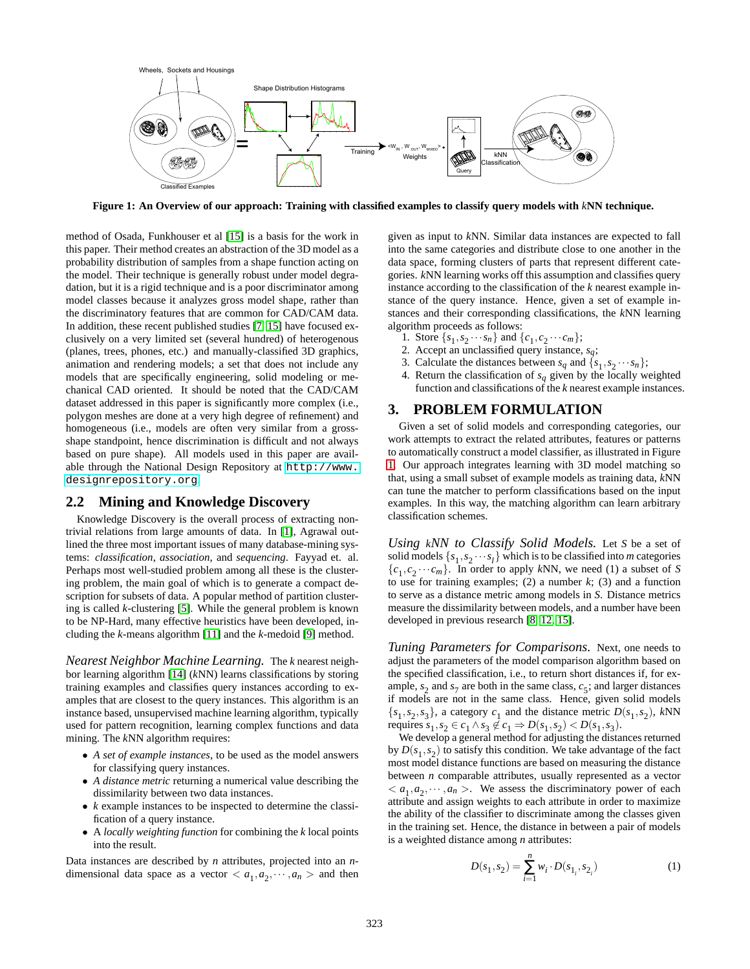

**Figure 1: An Overview of our approach: Training with classified examples to classify query models with** *k***NN technique.**

method of Osada, Funkhouser et al [\[15\]](#page-5-0) is a basis for the work in this paper. Their method creates an abstraction of the 3D model as a probability distribution of samples from a shape function acting on the model. Their technique is generally robust under model degradation, but it is a rigid technique and is a poor discriminator among model classes because it analyzes gross model shape, rather than the discriminatory features that are common for CAD/CAM data. In addition, these recent published studies [\[7,](#page-4-0) [15\]](#page-5-0) have focused exclusively on a very limited set (several hundred) of heterogenous (planes, trees, phones, etc.) and manually-classified 3D graphics, animation and rendering models; a set that does not include any models that are specifically engineering, solid modeling or mechanical CAD oriented. It should be noted that the CAD/CAM dataset addressed in this paper is significantly more complex (i.e., polygon meshes are done at a very high degree of refinement) and homogeneous (i.e., models are often very similar from a grossshape standpoint, hence discrimination is difficult and not always based on pure shape). All models used in this paper are available through the National Design Repository at [http://www.](http://www.designrepository.org) [designrepository.org](http://www.designrepository.org).

### **2.2 Mining and Knowledge Discovery**

Knowledge Discovery is the overall process of extracting nontrivial relations from large amounts of data. In [\[1\]](#page-4-0), Agrawal outlined the three most important issues of many database-mining systems: *classification*, *association*, and *sequencing*. Fayyad et. al. Perhaps most well-studied problem among all these is the clustering problem, the main goal of which is to generate a compact description for subsets of data. A popular method of partition clustering is called *k*-clustering [\[5\]](#page-4-0). While the general problem is known to be NP-Hard, many effective heuristics have been developed, including the *k*-means algorithm [\[11\]](#page-5-0) and the *k*-medoid [\[9\]](#page-4-0) method.

*Nearest Neighbor Machine Learning.* The *k* nearest neighbor learning algorithm [\[14\]](#page-5-0) (*k*NN) learns classifications by storing training examples and classifies query instances according to examples that are closest to the query instances. This algorithm is an instance based, unsupervised machine learning algorithm, typically used for pattern recognition, learning complex functions and data mining. The *k*NN algorithm requires:

- *A set of example instances*, to be used as the model answers for classifying query instances.
- *A distance metric* returning a numerical value describing the dissimilarity between two data instances.
- *k* example instances to be inspected to determine the classification of a query instance.
- A *locally weighting function* for combining the *k* local points into the result.

Data instances are described by *n* attributes, projected into an *n*dimensional data space as a vector  $\langle a_1, a_2, \dots, a_n \rangle$  and then

given as input to *k*NN. Similar data instances are expected to fall into the same categories and distribute close to one another in the data space, forming clusters of parts that represent different categories. *k*NN learning works off this assumption and classifies query instance according to the classification of the *k* nearest example instance of the query instance. Hence, given a set of example instances and their corresponding classifications, the *k*NN learning algorithm proceeds as follows:

- 1. Store  $\{s_1, s_2 \cdots s_n\}$  and  $\{c_1, c_2 \cdots c_m\}$ ;
- 2. Accept an unclassified query instance, *sq*;
- 3. Calculate the distances between  $s_q$  and  $\{s_1, s_2 \cdots s_n\}$ ;
- 4. Return the classification of  $s_q$  given by the locally weighted function and classifications of the *k* nearest example instances.

### **3. PROBLEM FORMULATION**

Given a set of solid models and corresponding categories, our work attempts to extract the related attributes, features or patterns to automatically construct a model classifier, as illustrated in Figure 1. Our approach integrates learning with 3D model matching so that, using a small subset of example models as training data, *k*NN can tune the matcher to perform classifications based on the input examples. In this way, the matching algorithm can learn arbitrary classification schemes.

*Using kNN to Classify Solid Models.* Let *S* be a set of solid models  $\{s_1, s_2 \cdots s_l\}$  which is to be classified into *m* categories  ${c_1, c_2 \cdots c_m}$ . In order to apply *kNN*, we need (1) a subset of *S* to use for training examples;  $(2)$  a number  $k$ ;  $(3)$  and a function to serve as a distance metric among models in *S*. Distance metrics measure the dissimilarity between models, and a number have been developed in previous research [\[8,](#page-4-0) [12,](#page-5-0) [15\]](#page-5-0).

*Tuning Parameters for Comparisons.* Next, one needs to adjust the parameters of the model comparison algorithm based on the specified classification, i.e., to return short distances if, for example,  $s_2$  and  $s_7$  are both in the same class,  $c_5$ ; and larger distances if models are not in the same class. Hence, given solid models  ${s_1, s_2, s_3}$ , a category  $c_1$  and the distance metric  $D(s_1, s_2)$ , kNN requires  $s_1, s_2 \in c_1 \wedge s_3 \notin c_1 \Rightarrow D(s_1, s_2) < D(s_1, s_3)$ .

We develop a general method for adjusting the distances returned by  $D(s_1, s_2)$  to satisfy this condition. We take advantage of the fact most model distance functions are based on measuring the distance between *n* comparable attributes, usually represented as a vector  $\langle a_1, a_2, \dots, a_n \rangle$ . We assess the discriminatory power of each attribute and assign weights to each attribute in order to maximize the ability of the classifier to discriminate among the classes given in the training set. Hence, the distance in between a pair of models is a weighted distance among *n* attributes:

$$
D(s_1, s_2) = \sum_{i=1}^{n} w_i \cdot D(s_{1_i}, s_{2_i})
$$
 (1)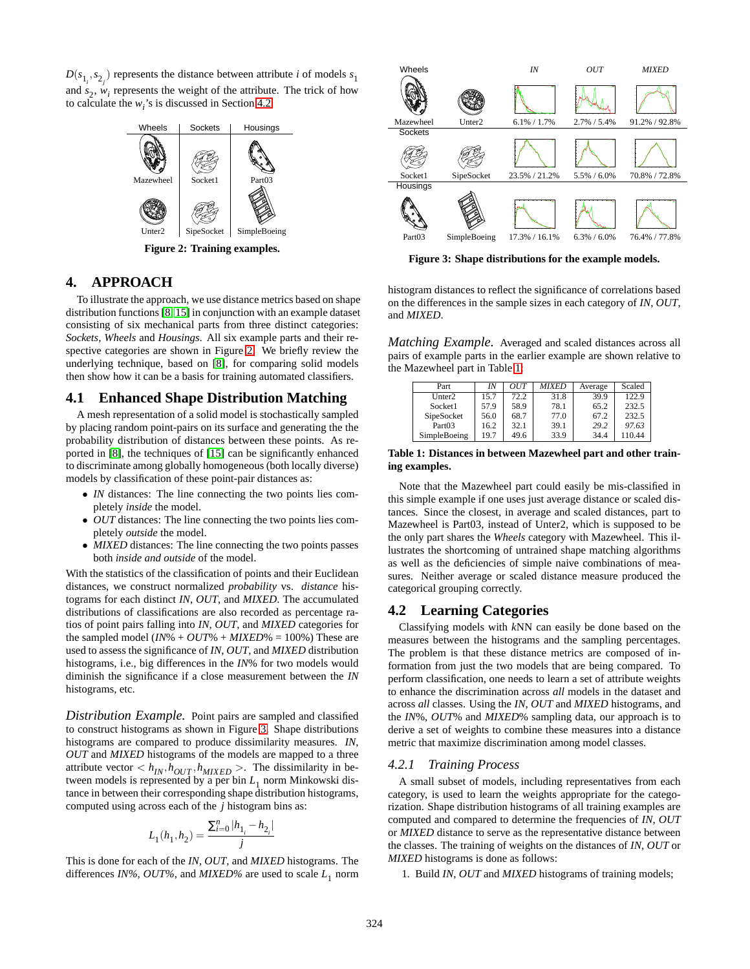$D(s_{1_i}, s_{2_j})$  represents the distance between attribute *i* of models  $s_1$ and  $s_2$ ,  $w_i$  represents the weight of the attribute. The trick of how to calculate the  $w_i$ 's is discussed in Section 4.2.



**Figure 2: Training examples.**

# **4. APPROACH**

To illustrate the approach, we use distance metrics based on shape distribution functions [\[8,](#page-4-0) [15\]](#page-5-0) in conjunction with an example dataset consisting of six mechanical parts from three distinct categories: *Sockets*, *Wheels* and *Housings*. All six example parts and their respective categories are shown in Figure 2. We briefly review the underlying technique, based on [\[8\]](#page-4-0), for comparing solid models then show how it can be a basis for training automated classifiers.

### **4.1 Enhanced Shape Distribution Matching**

A mesh representation of a solid model is stochastically sampled by placing random point-pairs on its surface and generating the the probability distribution of distances between these points. As reported in [\[8\]](#page-4-0), the techniques of [\[15\]](#page-5-0) can be significantly enhanced to discriminate among globally homogeneous (both locally diverse) models by classification of these point-pair distances as:

- *IN* distances: The line connecting the two points lies completely *inside* the model.
- *OUT* distances: The line connecting the two points lies completely *outside* the model.
- *MIXED* distances: The line connecting the two points passes both *inside and outside* of the model.

With the statistics of the classification of points and their Euclidean distances, we construct normalized *probability* vs. *distance* histograms for each distinct *IN*, *OUT*, and *MIXED*. The accumulated distributions of classifications are also recorded as percentage ratios of point pairs falling into *IN*, *OUT*, and *MIXED* categories for the sampled model  $(IN\% + OUT\% + MIXED\% = 100\%)$  These are used to assess the significance of *IN*, *OUT*, and *MIXED* distribution histograms, i.e., big differences in the *IN*% for two models would diminish the significance if a close measurement between the *IN* histograms, etc.

*Distribution Example.* Point pairs are sampled and classified to construct histograms as shown in Figure 3. Shape distributions histograms are compared to produce dissimilarity measures. *IN*, *OUT* and *MIXED* histograms of the models are mapped to a three attribute vector  $\langle h_{IN}, h_{OUT}, h_{MIXED} \rangle$ . The dissimilarity in between models is represented by a per bin  $L_1$  norm Minkowski distance in between their corresponding shape distribution histograms, computed using across each of the *j* histogram bins as:

$$
L_1(h_1,h_2)=\frac{\sum_{i=0}^{n}|h_{1_i}-h_{2_i}|}{j}
$$

This is done for each of the *IN*, *OUT*, and *MIXED* histograms. The differences *IN%*, *OUT%*, and *MIXED%* are used to scale  $L_1$  norm



**Figure 3: Shape distributions for the example models.**

histogram distances to reflect the significance of correlations based on the differences in the sample sizes in each category of *IN*, *OUT*, and *MIXED*.

*Matching Example.* Averaged and scaled distances across all pairs of example parts in the earlier example are shown relative to the Mazewheel part in Table 1:

| Part               | IN   | OUT  | <i>MIXED</i> | Average | Scaled |
|--------------------|------|------|--------------|---------|--------|
| Unter <sub>2</sub> | 15.7 | 72.2 | 31.8         | 39.9    | 122.9  |
| Socket1            | 57.9 | 58.9 | 78.1         | 65.2    | 232.5  |
| SipeSocket         | 56.0 | 68.7 | 77.0         | 67.2    | 232.5  |
| Part <sub>03</sub> | 16.2 | 32.1 | 39.1         | 29.2    | 97.63  |
| SimpleBoeing       | 19.7 | 49.6 | 33.9         | 34.4    | 110.44 |

#### **Table 1: Distances in between Mazewheel part and other training examples.**

Note that the Mazewheel part could easily be mis-classified in this simple example if one uses just average distance or scaled distances. Since the closest, in average and scaled distances, part to Mazewheel is Part03, instead of Unter2, which is supposed to be the only part shares the *Wheels* category with Mazewheel. This illustrates the shortcoming of untrained shape matching algorithms as well as the deficiencies of simple naive combinations of measures. Neither average or scaled distance measure produced the categorical grouping correctly.

### **4.2 Learning Categories**

Classifying models with *k*NN can easily be done based on the measures between the histograms and the sampling percentages. The problem is that these distance metrics are composed of information from just the two models that are being compared. To perform classification, one needs to learn a set of attribute weights to enhance the discrimination across *all* models in the dataset and across *all* classes. Using the *IN*, *OUT* and *MIXED* histograms, and the *IN*%, *OUT*% and *MIXED*% sampling data, our approach is to derive a set of weights to combine these measures into a distance metric that maximize discrimination among model classes.

### *4.2.1 Training Process*

A small subset of models, including representatives from each category, is used to learn the weights appropriate for the categorization. Shape distribution histograms of all training examples are computed and compared to determine the frequencies of *IN*, *OUT* or *MIXED* distance to serve as the representative distance between the classes. The training of weights on the distances of *IN*, *OUT* or *MIXED* histograms is done as follows:

1. Build *IN*, *OUT* and *MIXED* histograms of training models;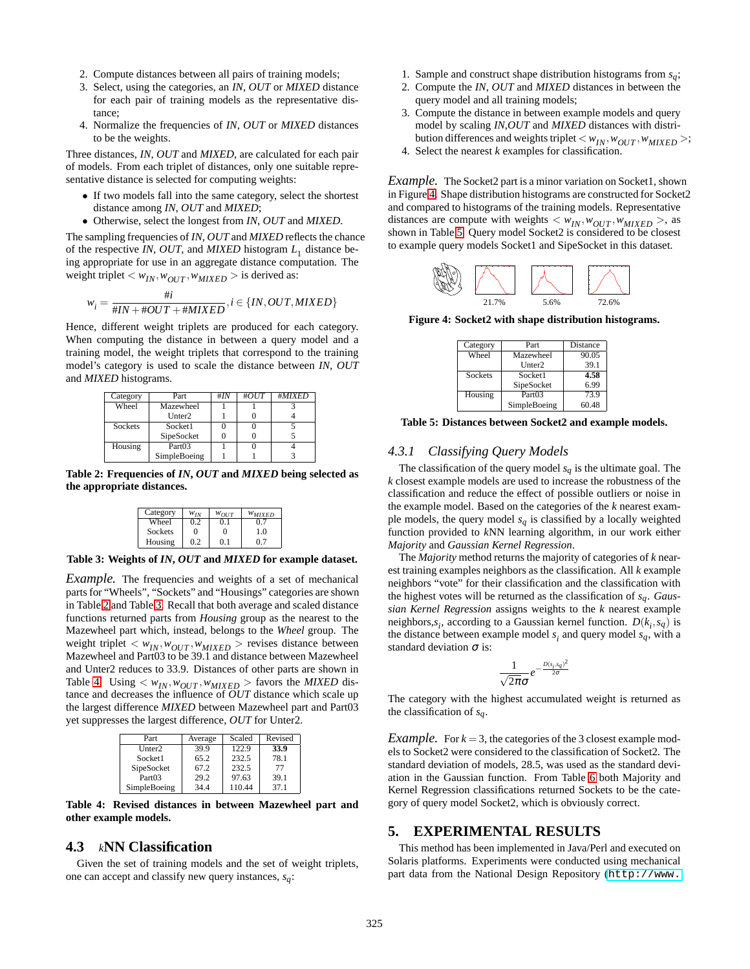- 2. Compute distances between all pairs of training models;
- 3. Select, using the categories, an *IN*, *OUT* or *MIXED* distance for each pair of training models as the representative distance;
- 4. Normalize the frequencies of *IN*, *OUT* or *MIXED* distances to be the weights.

Three distances, *IN*, *OUT* and *MIXED*, are calculated for each pair of models. From each triplet of distances, only one suitable representative distance is selected for computing weights:

- If two models fall into the same category, select the shortest distance among *IN*, *OUT* and *MIXED*;
- Otherwise, select the longest from *IN*, *OUT* and *MIXED*.

The sampling frequencies of *IN*, *OUT* and *MIXED* reflects the chance of the respective *IN*, *OUT*, and *MIXED* histogram  $L_1$  distance being appropriate for use in an aggregate distance computation. The weight triplet  $\langle w_{IN}, w_{OUT}, w_{MIXED} \rangle$  is derived as:

$$
w_i = \frac{\#i}{\#IN + \#OUT + \#MIXED}, i \in \{IN, OUT, MIXED\}
$$

Hence, different weight triplets are produced for each category. When computing the distance in between a query model and a training model, the weight triplets that correspond to the training model's category is used to scale the distance between *IN*, *OUT* and *MIXED* histograms.

| Category | Part               | #IN | #OUT | #MIXED |
|----------|--------------------|-----|------|--------|
| Wheel    | Mazewheel          |     |      |        |
|          | Unter <sub>2</sub> |     |      |        |
| Sockets  | Socket1            |     |      |        |
|          | SipeSocket         |     |      |        |
| Housing  | Part <sub>03</sub> |     |      |        |
|          | SimpleBoeing       |     |      |        |

**Table 2: Frequencies of** *IN***,** *OUT* **and** *MIXED* **being selected as the appropriate distances.**

| Category | $W_{IN}$ | $W_{OUIT}$ | $W_{MIXED}$ |
|----------|----------|------------|-------------|
| Wheel    | 0.2      |            | 07          |
| Sockets  | 0        | $\Omega$   | 10          |
| Housing  | 02       |            | 07          |

**Table 3: Weights of** *IN***,** *OUT* **and** *MIXED* **for example dataset.**

*Example*. The frequencies and weights of a set of mechanical parts for "Wheels", "Sockets" and "Housings" categories are shown in Table 2 and Table 3. Recall that both average and scaled distance functions returned parts from *Housing* group as the nearest to the Mazewheel part which, instead, belongs to the *Wheel* group. The weight triplet  $\langle w_{IN}, w_{OUT}, w_{MIXED} \rangle$  revises distance between Mazewheel and Part03 to be 39.1 and distance between Mazewheel and Unter2 reduces to 33.9. Distances of other parts are shown in Table 4. Using  $\langle w_{IN}, w_{OUT}, w_{MIXED} \rangle$  favors the *MIXED* distance and decreases the influence of *OUT* distance which scale up the largest difference *MIXED* between Mazewheel part and Part03 yet suppresses the largest difference, *OUT* for Unter2.

| Part               | Average | Scaled | Revised |
|--------------------|---------|--------|---------|
| Unter <sub>2</sub> | 39.9    | 122.9  | 33.9    |
| Socket1            | 65.2    | 232.5  | 78.1    |
| SipeSocket         | 67.2    | 232.5  | 77      |
| Part <sub>03</sub> | 29.2    | 97.63  | 39.1    |
| SimpleBoeing       | 34.4    | 110.44 | 37.1    |

**Table 4: Revised distances in between Mazewheel part and other example models.**

### **4.3** *k***NN Classification**

Given the set of training models and the set of weight triplets, one can accept and classify new query instances, *sq*:

- 1. Sample and construct shape distribution histograms from *sq*;
- 2. Compute the *IN*, *OUT* and *MIXED* distances in between the query model and all training models;
- 3. Compute the distance in between example models and query model by scaling *IN*,*OUT* and *MIXED* distances with distribution differences and weights triplet  $\langle w_{IN}, w_{OUT}, w_{MIXED} \rangle$ ;
- 4. Select the nearest *k* examples for classification.
- 

*Example.* The Socket2 part is a minor variation on Socket1, shown in Figure 4. Shape distribution histograms are constructed for Socket2 and compared to histograms of the training models. Representative distances are compute with weights  $\langle w_{IN}, w_{OUT}, w_{MIXED} \rangle$ , as shown in Table 5. Query model Socket2 is considered to be closest to example query models Socket1 and SipeSocket in this dataset.



**Figure 4: Socket2 with shape distribution histograms.**

| Category | Part               | Distance |
|----------|--------------------|----------|
| Wheel    | Mazewheel          | 90.05    |
|          | Unter <sub>2</sub> | 39.1     |
| Sockets  | Socket1            | 4.58     |
|          | SipeSocket         | 6.99     |
| Housing  | Part03             | 73.9     |
|          | SimpleBoeing       | 60.48    |

**Table 5: Distances between Socket2 and example models.**

### *4.3.1 Classifying Query Models*

The classification of the query model  $s_q$  is the ultimate goal. The *k* closest example models are used to increase the robustness of the classification and reduce the effect of possible outliers or noise in the example model. Based on the categories of the *k* nearest example models, the query model  $s_q$  is classified by a locally weighted function provided to *k*NN learning algorithm, in our work either *Majority* and *Gaussian Kernel Regression*.

The *Majority* method returns the majority of categories of *k* nearest training examples neighbors as the classification. All *k* example neighbors "vote" for their classification and the classification with the highest votes will be returned as the classification of *sq*. *Gaussian Kernel Regression* assigns weights to the *k* nearest example neighbors, $s_i$ , according to a Gaussian kernel function.  $D(k_i, s_q)$  is the distance between example model  $s_i$  and query model  $s_q$ , with a standard deviation  $\sigma$  is:

$$
\frac{1}{\sqrt{2\pi}\sigma}e^{-\frac{D(s_i,s_q)^2}{2\sigma}}
$$

The category with the highest accumulated weight is returned as the classification of *sq*.

*Example.* For  $k = 3$ , the categories of the 3 closest example models to Socket2 were considered to the classification of Socket2. The standard deviation of models, 28.5, was used as the standard deviation in the Gaussian function. From Table [6](#page-4-0) both Majority and Kernel Regression classifications returned Sockets to be the category of query model Socket2, which is obviously correct.

### **5. EXPERIMENTAL RESULTS**

This method has been implemented in Java/Perl and executed on Solaris platforms. Experiments were conducted using mechanical part data from the National Design Repository ([http://www.](http://www.designrepository.org)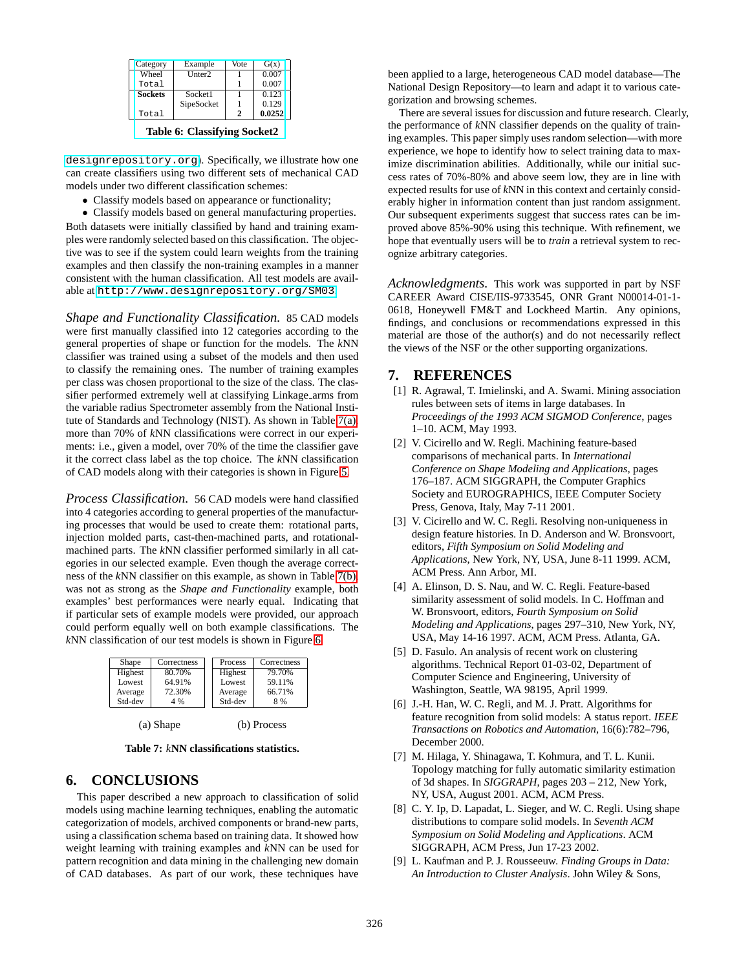<span id="page-4-0"></span>

| Category       | Example            | Vote | G(x)   |
|----------------|--------------------|------|--------|
| Wheel          | Unter <sub>2</sub> |      | 0.007  |
| Total          |                    |      | 0.007  |
| <b>Sockets</b> | Socket1            |      | 0.123  |
|                | SipeSocket         |      | 0.129  |
| Total          |                    | ο,   | 0.0252 |

**Table 6: [Classifying Socket2](http://www.designrepository.org)**

[designrepository.org](http://www.designrepository.org)). Specifically, we illustrate how one can create classifiers using two different sets of mechanical CAD models under two different classification schemes:

• Classify models based on appearance or functionality;

• Classify models based on general manufacturing properties. Both datasets were initially classified by hand and training examples were randomly selected based on this classification. The objective was to see if the system could learn weights from the training examples and then classify the non-training examples in a manner consistent with the human classification. All test models are available at <http://www.designrepository.org/SM03>.

*Shape and Functionality Classification.* 85 CAD models were first manually classified into 12 categories according to the general properties of shape or function for the models. The *k*NN classifier was trained using a subset of the models and then used to classify the remaining ones. The number of training examples per class was chosen proportional to the size of the class. The classifier performed extremely well at classifying Linkage arms from the variable radius Spectrometer assembly from the National Institute of Standards and Technology (NIST). As shown in Table 7(a), more than 70% of *k*NN classifications were correct in our experiments: i.e., given a model, over 70% of the time the classifier gave it the correct class label as the top choice. The *k*NN classification of CAD models along with their categories is shown in Figure [5.](#page-5-0)

*Process Classification.* 56 CAD models were hand classified into 4 categories according to general properties of the manufacturing processes that would be used to create them: rotational parts, injection molded parts, cast-then-machined parts, and rotationalmachined parts. The *k*NN classifier performed similarly in all categories in our selected example. Even though the average correctness of the *k*NN classifier on this example, as shown in Table 7(b), was not as strong as the *Shape and Functionality* example, both examples' best performances were nearly equal. Indicating that if particular sets of example models were provided, our approach could perform equally well on both example classifications. The *k*NN classification of our test models is shown in Figure [6](#page-5-0)

| 79.70%<br>Highest<br>80.70%<br>Highest<br>64.91%<br>59.11%<br>Lowest<br>Lowest<br>72.30%<br>66.71%<br>Average<br>Average | Shape   | Correctness | Process | Correctness |
|--------------------------------------------------------------------------------------------------------------------------|---------|-------------|---------|-------------|
|                                                                                                                          |         |             |         |             |
|                                                                                                                          |         |             |         |             |
|                                                                                                                          |         |             |         |             |
|                                                                                                                          | Std-dev | 4 %         | Std-dev | 8%          |

(a) Shape (b) Process

**Table 7:** *k***NN classifications statistics.**

### **6. CONCLUSIONS**

This paper described a new approach to classification of solid models using machine learning techniques, enabling the automatic categorization of models, archived components or brand-new parts, using a classification schema based on training data. It showed how weight learning with training examples and *k*NN can be used for pattern recognition and data mining in the challenging new domain of CAD databases. As part of our work, these techniques have been applied to a large, heterogeneous CAD model database—The National Design Repository—to learn and adapt it to various categorization and browsing schemes.

There are several issues for discussion and future research. Clearly, the performance of *k*NN classifier depends on the quality of training examples. This paper simply uses random selection—with more experience, we hope to identify how to select training data to maximize discrimination abilities. Additionally, while our initial success rates of 70%-80% and above seem low, they are in line with expected results for use of *k*NN in this context and certainly considerably higher in information content than just random assignment. Our subsequent experiments suggest that success rates can be improved above 85%-90% using this technique. With refinement, we hope that eventually users will be to *train* a retrieval system to recognize arbitrary categories.

*Acknowledgments.* This work was supported in part by NSF CAREER Award CISE/IIS-9733545, ONR Grant N00014-01-1- 0618, Honeywell FM&T and Lockheed Martin. Any opinions, findings, and conclusions or recommendations expressed in this material are those of the author(s) and do not necessarily reflect the views of the NSF or the other supporting organizations.

### **7. REFERENCES**

- [1] R. Agrawal, T. Imielinski, and A. Swami. Mining association rules between sets of items in large databases. In *Proceedings of the 1993 ACM SIGMOD Conference*, pages 1–10. ACM, May 1993.
- [2] V. Cicirello and W. Regli. Machining feature-based comparisons of mechanical parts. In *International Conference on Shape Modeling and Applications*, pages 176–187. ACM SIGGRAPH, the Computer Graphics Society and EUROGRAPHICS, IEEE Computer Society Press, Genova, Italy, May 7-11 2001.
- [3] V. Cicirello and W. C. Regli. Resolving non-uniqueness in design feature histories. In D. Anderson and W. Bronsvoort, editors, *Fifth Symposium on Solid Modeling and Applications*, New York, NY, USA, June 8-11 1999. ACM, ACM Press. Ann Arbor, MI.
- [4] A. Elinson, D. S. Nau, and W. C. Regli. Feature-based similarity assessment of solid models. In C. Hoffman and W. Bronsvoort, editors, *Fourth Symposium on Solid Modeling and Applications*, pages 297–310, New York, NY, USA, May 14-16 1997. ACM, ACM Press. Atlanta, GA.
- [5] D. Fasulo. An analysis of recent work on clustering algorithms. Technical Report 01-03-02, Department of Computer Science and Engineering, University of Washington, Seattle, WA 98195, April 1999.
- [6] J.-H. Han, W. C. Regli, and M. J. Pratt. Algorithms for feature recognition from solid models: A status report. *IEEE Transactions on Robotics and Automation*, 16(6):782–796, December 2000.
- [7] M. Hilaga, Y. Shinagawa, T. Kohmura, and T. L. Kunii. Topology matching for fully automatic similarity estimation of 3d shapes. In *SIGGRAPH*, pages 203 – 212, New York, NY, USA, August 2001. ACM, ACM Press.
- [8] C. Y. Ip, D. Lapadat, L. Sieger, and W. C. Regli. Using shape distributions to compare solid models. In *Seventh ACM Symposium on Solid Modeling and Applications*. ACM SIGGRAPH, ACM Press, Jun 17-23 2002.
- [9] L. Kaufman and P. J. Rousseeuw. *Finding Groups in Data: An Introduction to Cluster Analysis*. John Wiley & Sons,